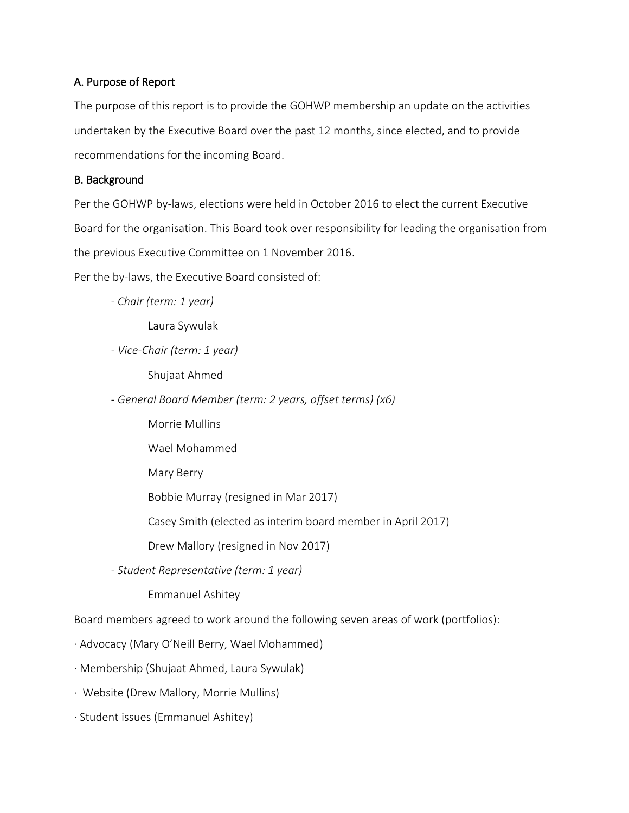### A. Purpose of Report

The purpose of this report is to provide the GOHWP membership an update on the activities undertaken by the Executive Board over the past 12 months, since elected, and to provide recommendations for the incoming Board.

### B. Background

Per the GOHWP by-laws, elections were held in October 2016 to elect the current Executive Board for the organisation. This Board took over responsibility for leading the organisation from the previous Executive Committee on 1 November 2016.

Per the by-laws, the Executive Board consisted of:

*- Chair (term: 1 year)*

Laura Sywulak

*- Vice-Chair (term: 1 year)*

Shujaat Ahmed

*- General Board Member (term: 2 years, offset terms) (x6)*

- Morrie Mullins
- Wael Mohammed
- Mary Berry

Bobbie Murray (resigned in Mar 2017)

Casey Smith (elected as interim board member in April 2017)

Drew Mallory (resigned in Nov 2017)

*- Student Representative (term: 1 year)*

Emmanuel Ashitey

Board members agreed to work around the following seven areas of work (portfolios):

· Advocacy (Mary O'Neill Berry, Wael Mohammed)

· Membership (Shujaat Ahmed, Laura Sywulak)

· Website (Drew Mallory, Morrie Mullins)

· Student issues (Emmanuel Ashitey)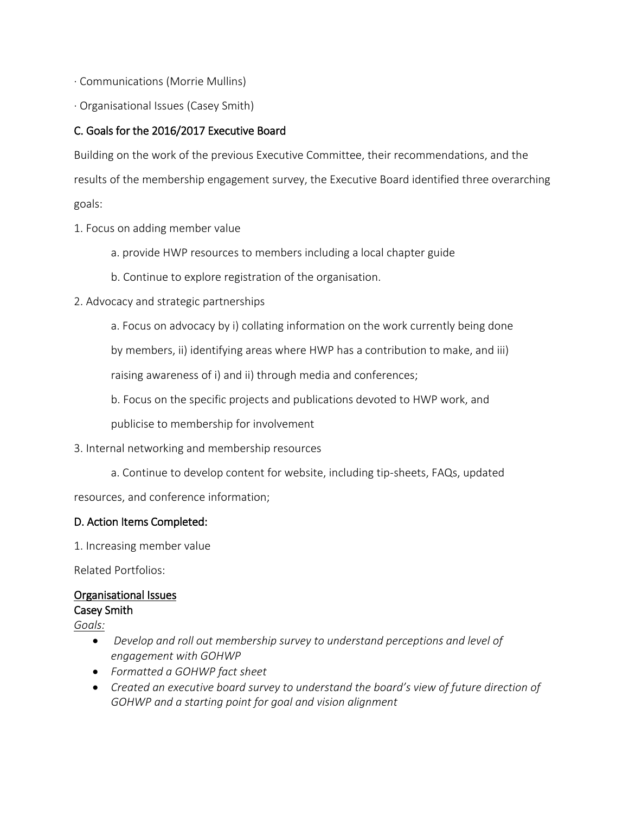- · Communications (Morrie Mullins)
- · Organisational Issues (Casey Smith)

#### C. Goals for the 2016/2017 Executive Board

Building on the work of the previous Executive Committee, their recommendations, and the results of the membership engagement survey, the Executive Board identified three overarching goals:

- 1. Focus on adding member value
	- a. provide HWP resources to members including a local chapter guide
	- b. Continue to explore registration of the organisation.
- 2. Advocacy and strategic partnerships
	- a. Focus on advocacy by i) collating information on the work currently being done

by members, ii) identifying areas where HWP has a contribution to make, and iii)

raising awareness of i) and ii) through media and conferences;

b. Focus on the specific projects and publications devoted to HWP work, and

publicise to membership for involvement

#### 3. Internal networking and membership resources

a. Continue to develop content for website, including tip-sheets, FAQs, updated

resources, and conference information;

#### D. Action Items Completed:

1. Increasing member value

Related Portfolios:

#### Organisational Issues

#### Casey Smith

*Goals:*

- *Develop and roll out membership survey to understand perceptions and level of engagement with GOHWP*
- *Formatted a GOHWP fact sheet*
- *Created an executive board survey to understand the board's view of future direction of GOHWP and a starting point for goal and vision alignment*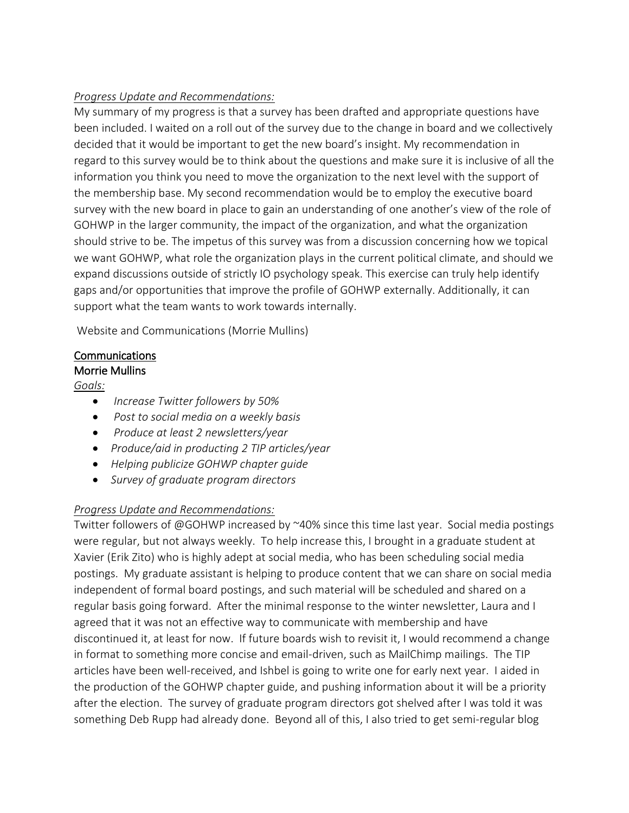## *Progress Update and Recommendations:*

My summary of my progress is that a survey has been drafted and appropriate questions have been included. I waited on a roll out of the survey due to the change in board and we collectively decided that it would be important to get the new board's insight. My recommendation in regard to this survey would be to think about the questions and make sure it is inclusive of all the information you think you need to move the organization to the next level with the support of the membership base. My second recommendation would be to employ the executive board survey with the new board in place to gain an understanding of one another's view of the role of GOHWP in the larger community, the impact of the organization, and what the organization should strive to be. The impetus of this survey was from a discussion concerning how we topical we want GOHWP, what role the organization plays in the current political climate, and should we expand discussions outside of strictly IO psychology speak. This exercise can truly help identify gaps and/or opportunities that improve the profile of GOHWP externally. Additionally, it can support what the team wants to work towards internally.

Website and Communications (Morrie Mullins)

## Communications

#### Morrie Mullins

*Goals:*

- *Increase Twitter followers by 50%*
- *Post to social media on a weekly basis*
- *Produce at least 2 newsletters/year*
- *Produce/aid in producting 2 TIP articles/year*
- *Helping publicize GOHWP chapter guide*
- *Survey of graduate program directors*

### *Progress Update and Recommendations:*

Twitter followers of @GOHWP increased by ~40% since this time last year. Social media postings were regular, but not always weekly. To help increase this, I brought in a graduate student at Xavier (Erik Zito) who is highly adept at social media, who has been scheduling social media postings. My graduate assistant is helping to produce content that we can share on social media independent of formal board postings, and such material will be scheduled and shared on a regular basis going forward. After the minimal response to the winter newsletter, Laura and I agreed that it was not an effective way to communicate with membership and have discontinued it, at least for now. If future boards wish to revisit it, I would recommend a change in format to something more concise and email-driven, such as MailChimp mailings. The TIP articles have been well-received, and Ishbel is going to write one for early next year. I aided in the production of the GOHWP chapter guide, and pushing information about it will be a priority after the election. The survey of graduate program directors got shelved after I was told it was something Deb Rupp had already done. Beyond all of this, I also tried to get semi-regular blog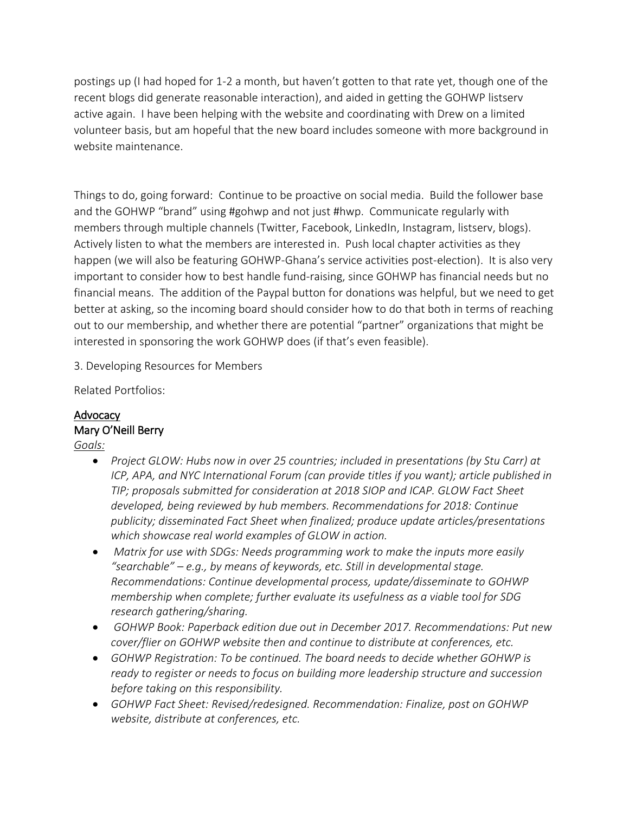postings up (I had hoped for 1-2 a month, but haven't gotten to that rate yet, though one of the recent blogs did generate reasonable interaction), and aided in getting the GOHWP listserv active again. I have been helping with the website and coordinating with Drew on a limited volunteer basis, but am hopeful that the new board includes someone with more background in website maintenance.

Things to do, going forward: Continue to be proactive on social media. Build the follower base and the GOHWP "brand" using #gohwp and not just #hwp. Communicate regularly with members through multiple channels (Twitter, Facebook, LinkedIn, Instagram, listserv, blogs). Actively listen to what the members are interested in. Push local chapter activities as they happen (we will also be featuring GOHWP-Ghana's service activities post-election). It is also very important to consider how to best handle fund-raising, since GOHWP has financial needs but no financial means. The addition of the Paypal button for donations was helpful, but we need to get better at asking, so the incoming board should consider how to do that both in terms of reaching out to our membership, and whether there are potential "partner" organizations that might be interested in sponsoring the work GOHWP does (if that's even feasible).

3. Developing Resources for Members

Related Portfolios:

## **Advocacy** Mary O'Neill Berry

- *Goals:*
	- *Project GLOW: Hubs now in over 25 countries; included in presentations (by Stu Carr) at ICP, APA, and NYC International Forum (can provide titles if you want); article published in TIP; proposals submitted for consideration at 2018 SIOP and ICAP. GLOW Fact Sheet developed, being reviewed by hub members. Recommendations for 2018: Continue publicity; disseminated Fact Sheet when finalized; produce update articles/presentations which showcase real world examples of GLOW in action.*
	- *Matrix for use with SDGs: Needs programming work to make the inputs more easily "searchable" – e.g., by means of keywords, etc. Still in developmental stage. Recommendations: Continue developmental process, update/disseminate to GOHWP membership when complete; further evaluate its usefulness as a viable tool for SDG research gathering/sharing.*
	- *GOHWP Book: Paperback edition due out in December 2017. Recommendations: Put new cover/flier on GOHWP website then and continue to distribute at conferences, etc.*
	- *GOHWP Registration: To be continued. The board needs to decide whether GOHWP is ready to register or needs to focus on building more leadership structure and succession before taking on this responsibility.*
	- *GOHWP Fact Sheet: Revised/redesigned. Recommendation: Finalize, post on GOHWP website, distribute at conferences, etc.*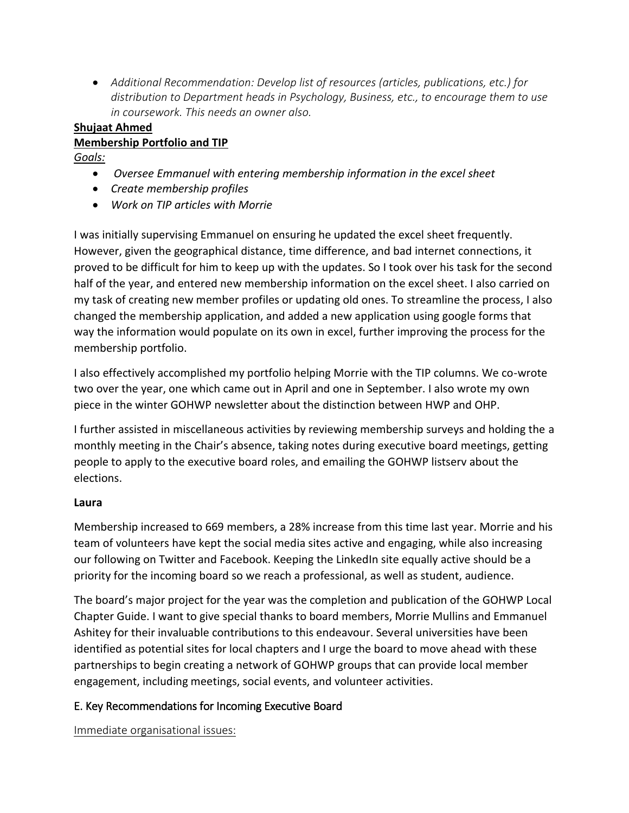• *Additional Recommendation: Develop list of resources (articles, publications, etc.) for distribution to Department heads in Psychology, Business, etc., to encourage them to use in coursework. This needs an owner also.*

# **Shujaat Ahmed**

## **Membership Portfolio and TIP**

*Goals:*

- *Oversee Emmanuel with entering membership information in the excel sheet*
- *Create membership profiles*
- *Work on TIP articles with Morrie*

I was initially supervising Emmanuel on ensuring he updated the excel sheet frequently. However, given the geographical distance, time difference, and bad internet connections, it proved to be difficult for him to keep up with the updates. So I took over his task for the second half of the year, and entered new membership information on the excel sheet. I also carried on my task of creating new member profiles or updating old ones. To streamline the process, I also changed the membership application, and added a new application using google forms that way the information would populate on its own in excel, further improving the process for the membership portfolio.

I also effectively accomplished my portfolio helping Morrie with the TIP columns. We co-wrote two over the year, one which came out in April and one in September. I also wrote my own piece in the winter GOHWP newsletter about the distinction between HWP and OHP.

I further assisted in miscellaneous activities by reviewing membership surveys and holding the a monthly meeting in the Chair's absence, taking notes during executive board meetings, getting people to apply to the executive board roles, and emailing the GOHWP listserv about the elections.

## **Laura**

Membership increased to 669 members, a 28% increase from this time last year. Morrie and his team of volunteers have kept the social media sites active and engaging, while also increasing our following on Twitter and Facebook. Keeping the LinkedIn site equally active should be a priority for the incoming board so we reach a professional, as well as student, audience.

The board's major project for the year was the completion and publication of the GOHWP Local Chapter Guide. I want to give special thanks to board members, Morrie Mullins and Emmanuel Ashitey for their invaluable contributions to this endeavour. Several universities have been identified as potential sites for local chapters and I urge the board to move ahead with these partnerships to begin creating a network of GOHWP groups that can provide local member engagement, including meetings, social events, and volunteer activities.

## E. Key Recommendations for Incoming Executive Board

Immediate organisational issues: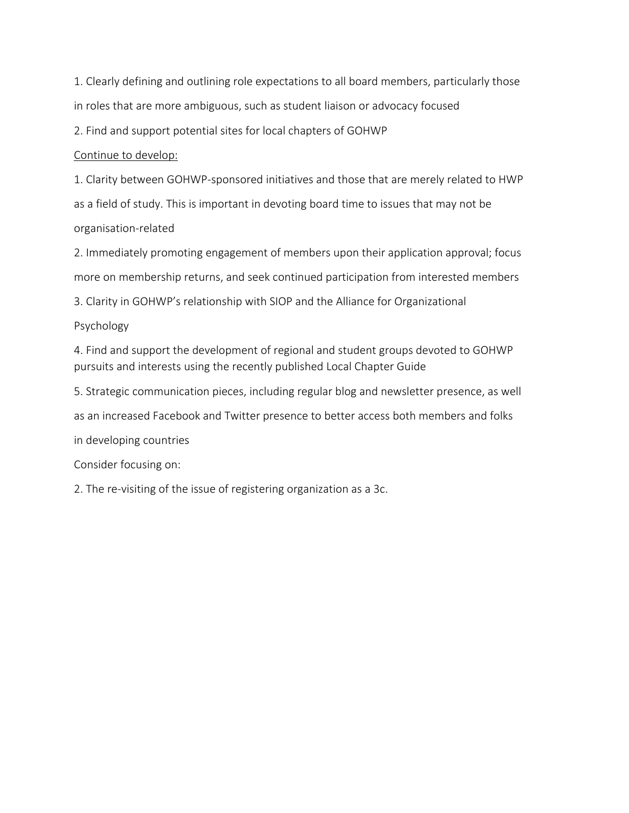1. Clearly defining and outlining role expectations to all board members, particularly those in roles that are more ambiguous, such as student liaison or advocacy focused

2. Find and support potential sites for local chapters of GOHWP

#### Continue to develop:

1. Clarity between GOHWP-sponsored initiatives and those that are merely related to HWP as a field of study. This is important in devoting board time to issues that may not be organisation-related

2. Immediately promoting engagement of members upon their application approval; focus more on membership returns, and seek continued participation from interested members

3. Clarity in GOHWP's relationship with SIOP and the Alliance for Organizational

Psychology

4. Find and support the development of regional and student groups devoted to GOHWP pursuits and interests using the recently published Local Chapter Guide

5. Strategic communication pieces, including regular blog and newsletter presence, as well

as an increased Facebook and Twitter presence to better access both members and folks

in developing countries

Consider focusing on:

2. The re-visiting of the issue of registering organization as a 3c.